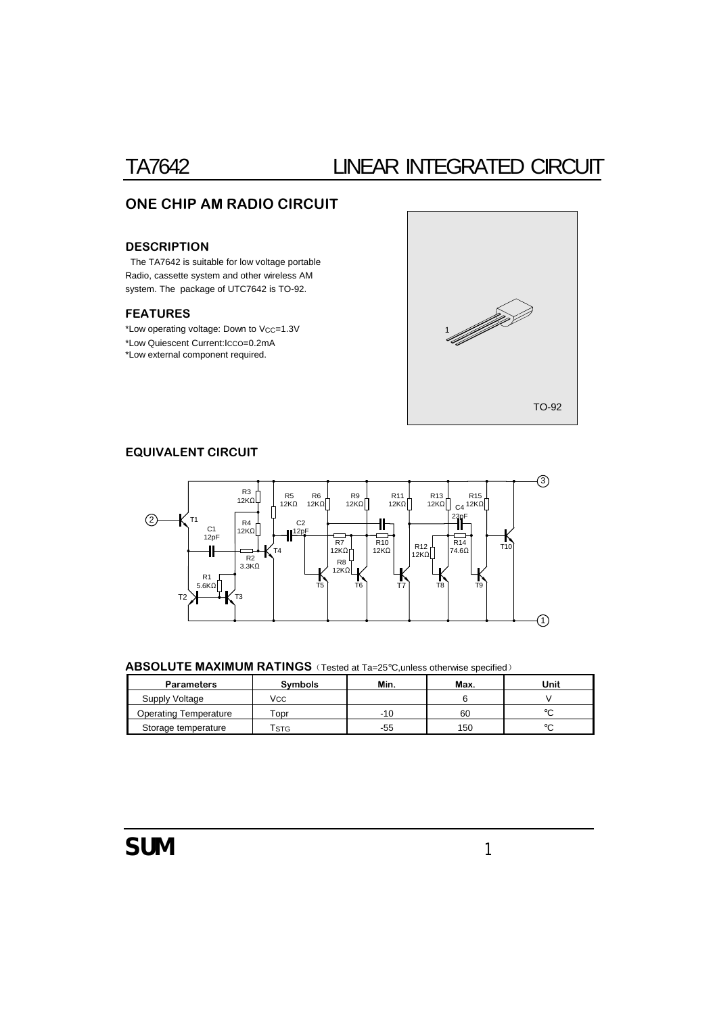# TA7642 LINEAR INTEGRATED CIRCUIT

## ONE CHIP AM RADIO CIRCUIT

### **DESCRIPTION**

The TA7642 is suitable for low voltage portable Radio, cassette system and other wireless AM system. The package of UTC7642 is TO-92.

### FEATURES

\*Low operating voltage: Down to VCC=1.3V \*Low Quiescent Current:ICCO=0.2mA \*Low external component required.



### EQUIVALENT CIRCUIT



### ABSOLUTE MAXIMUM RATINGS (Tested at Ta=25°C, unless otherwise specified)

| Parameters            | Svmbols                   | Min. | Max. | Jnit   |  |
|-----------------------|---------------------------|------|------|--------|--|
| Supply Voltage        | Vcc                       |      |      |        |  |
| Operating Temperature | $\tau$ opr                | -10  | 60   | $\sim$ |  |
| Storage temperature   | $\mathsf{r}_{\text{STG}}$ | -55  | 150  | $\sim$ |  |

# SUM *1*